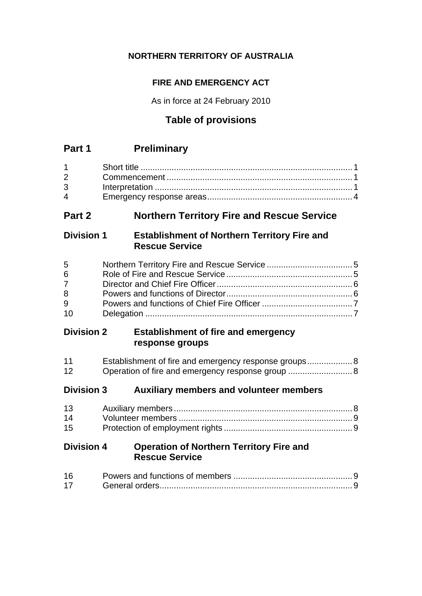# **NORTHERN TERRITORY OF AUSTRALIA**

# **FIRE AND EMERGENCY ACT**

As in force at 24 February 2010

# **Table of provisions**

# **Part 1 Preliminary**

| $1 \quad \Box$                    |  |
|-----------------------------------|--|
| $2 \left( \frac{1}{2} \right)$    |  |
|                                   |  |
| $\overline{4}$ and $\overline{4}$ |  |

# **Part 2 Northern Territory Fire and Rescue Service**

# **Division 1 Establishment of Northern Territory Fire and Rescue Service**

| 5         |  |
|-----------|--|
| 6         |  |
| $7 \quad$ |  |
| 8         |  |
| 9         |  |
| 10        |  |

# **Division 2 Establishment of fire and emergency response groups**

| 11 | Establishment of fire and emergency response groups 8 |
|----|-------------------------------------------------------|
| 12 |                                                       |

# **Division 3 Auxiliary members and volunteer members**

| 14 |  |
|----|--|
| 15 |  |

# **Division 4 Operation of Northern Territory Fire and Rescue Service**

| 16 |  |
|----|--|
| 17 |  |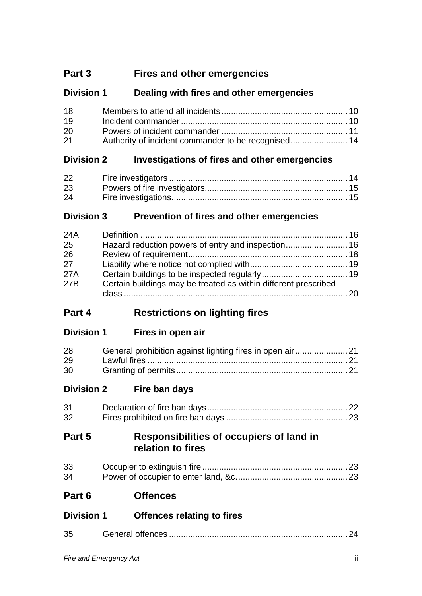# **Part 3 Fires and other emergencies**

# **Division 1 Dealing with fires and other emergencies**

| 18 |  |
|----|--|
| 19 |  |
| 20 |  |
| 21 |  |

# **Division 2 Investigations of fires and other emergencies**

| 22 |  |
|----|--|
| 23 |  |
| 24 |  |

# **Division 3 Prevention of fires and other emergencies**

| 24A |                                                                 |  |
|-----|-----------------------------------------------------------------|--|
| 25  |                                                                 |  |
| 26  |                                                                 |  |
| 27  |                                                                 |  |
| 27A |                                                                 |  |
| 27B | Certain buildings may be treated as within different prescribed |  |
|     |                                                                 |  |
|     |                                                                 |  |

# **Part 4 Restrictions on lighting fires**

| <b>Division 1</b> |  | Fires in open air |  |
|-------------------|--|-------------------|--|
|                   |  |                   |  |

| 28 |  |
|----|--|
| 29 |  |
| 30 |  |

**Division 2 Fire ban days**

| 31 |  |
|----|--|
| 32 |  |

# **Part 5 Responsibilities of occupiers of land in relation to fires**

| 33 |  |
|----|--|
| 34 |  |

**Part 6 Offences**

| <b>Division 1</b> | <b>Offences relating to fires</b> |
|-------------------|-----------------------------------|
|-------------------|-----------------------------------|

| 35 |  |  |
|----|--|--|
|    |  |  |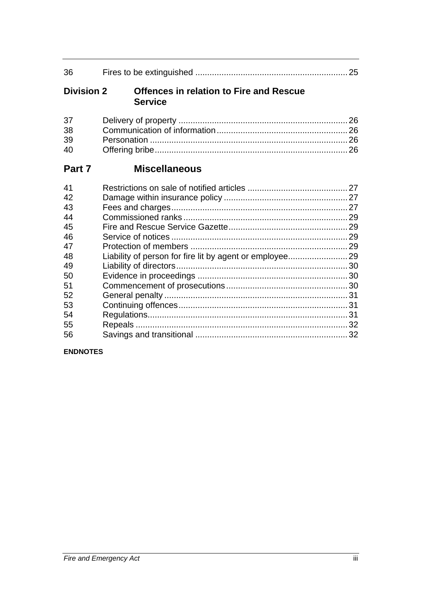| 36                                                                               |                                                                  |  |
|----------------------------------------------------------------------------------|------------------------------------------------------------------|--|
| <b>Division 2</b>                                                                | <b>Offences in relation to Fire and Rescue</b><br><b>Service</b> |  |
| 37<br>38<br>39<br>40                                                             |                                                                  |  |
| Part 7                                                                           | <b>Miscellaneous</b>                                             |  |
| 41<br>42<br>43<br>44<br>45<br>46<br>47<br>48<br>49<br>50<br>51<br>52<br>53<br>54 |                                                                  |  |
| 55<br>56                                                                         |                                                                  |  |

# **ENDNOTES**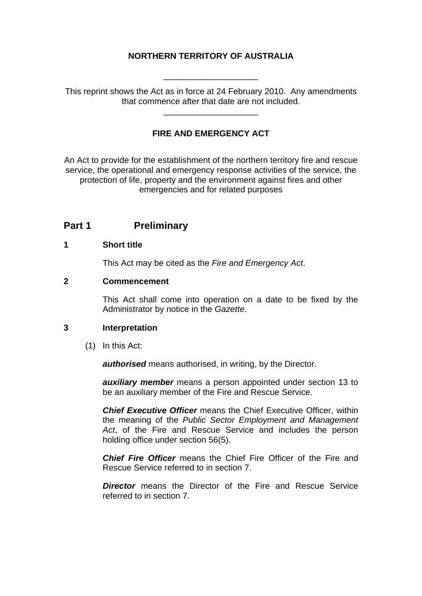### **NORTHERN TERRITORY OF AUSTRALIA**

This reprint shows the Act as in force at 24 February 2010. Any amendments that commence after that date are not included.

\_\_\_\_\_\_\_\_\_\_\_\_\_\_\_\_\_\_\_\_

\_\_\_\_\_\_\_\_\_\_\_\_\_\_\_\_\_\_\_\_

### **FIRE AND EMERGENCY ACT**

An Act to provide for the establishment of the northern territory fire and rescue service, the operational and emergency response activities of the service, the protection of life, property and the environment against fires and other emergencies and for related purposes

### **Part 1** Preliminary

#### <span id="page-3-0"></span>**1 Short title**

This Act may be cited as the *Fire and Emergency Act*.

#### <span id="page-3-1"></span>**2 Commencement**

This Act shall come into operation on a date to be fixed by the Administrator by notice in the *Gazette*.

#### <span id="page-3-2"></span>**3 Interpretation**

(1) In this Act:

*authorised* means authorised, in writing, by the Director.

*auxiliary member* means a person appointed under section 13 to be an auxiliary member of the Fire and Rescue Service.

*Chief Executive Officer* means the Chief Executive Officer, within the meaning of the *Public Sector Employment and Management Act*, of the Fire and Rescue Service and includes the person holding office under section 56(5).

*Chief Fire Officer* means the Chief Fire Officer of the Fire and Rescue Service referred to in section 7.

**Director** means the Director of the Fire and Rescue Service referred to in section 7.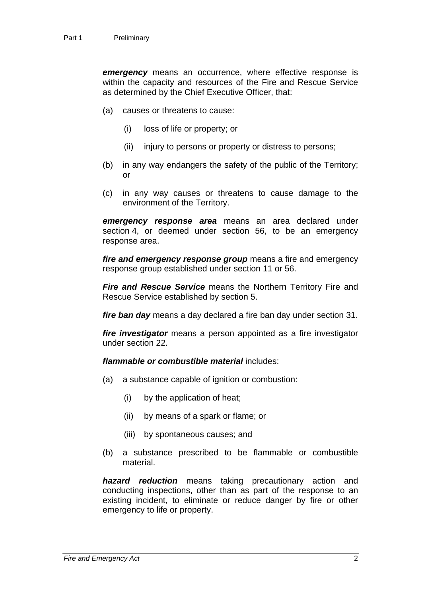*emergency* means an occurrence, where effective response is within the capacity and resources of the Fire and Rescue Service as determined by the Chief Executive Officer, that:

- (a) causes or threatens to cause:
	- (i) loss of life or property; or
	- (ii) injury to persons or property or distress to persons;
- (b) in any way endangers the safety of the public of the Territory; or
- (c) in any way causes or threatens to cause damage to the environment of the Territory.

*emergency response area* means an area declared under section 4, or deemed under section 56, to be an emergency response area.

*fire and emergency response group* means a fire and emergency response group established under section 11 or 56.

*Fire and Rescue Service* means the Northern Territory Fire and Rescue Service established by section 5.

*fire ban day* means a day declared a fire ban day under section 31.

*fire investigator* means a person appointed as a fire investigator under section 22.

*flammable or combustible material* includes:

- (a) a substance capable of ignition or combustion:
	- (i) by the application of heat;
	- (ii) by means of a spark or flame; or
	- (iii) by spontaneous causes; and
- (b) a substance prescribed to be flammable or combustible material.

*hazard reduction* means taking precautionary action and conducting inspections, other than as part of the response to an existing incident, to eliminate or reduce danger by fire or other emergency to life or property.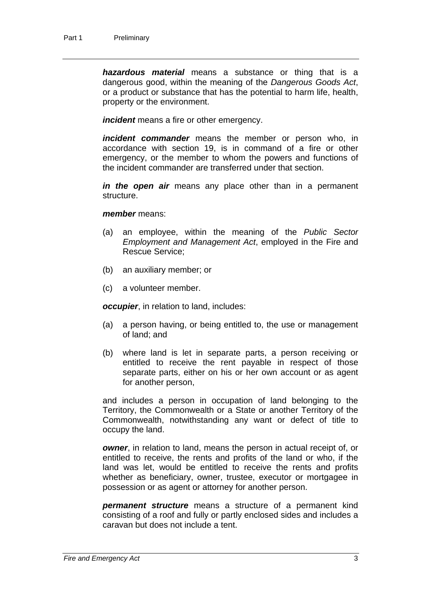*hazardous material* means a substance or thing that is a dangerous good, within the meaning of the *Dangerous Goods Act*, or a product or substance that has the potential to harm life, health, property or the environment.

*incident* means a fire or other emergency.

*incident commander* means the member or person who, in accordance with section 19, is in command of a fire or other emergency, or the member to whom the powers and functions of the incident commander are transferred under that section.

*in the open air* means any place other than in a permanent structure.

#### *member* means:

- (a) an employee, within the meaning of the *Public Sector Employment and Management Act*, employed in the Fire and Rescue Service;
- (b) an auxiliary member; or
- (c) a volunteer member.

*occupier*, in relation to land, includes:

- (a) a person having, or being entitled to, the use or management of land; and
- (b) where land is let in separate parts, a person receiving or entitled to receive the rent payable in respect of those separate parts, either on his or her own account or as agent for another person,

and includes a person in occupation of land belonging to the Territory, the Commonwealth or a State or another Territory of the Commonwealth, notwithstanding any want or defect of title to occupy the land.

*owner*, in relation to land, means the person in actual receipt of, or entitled to receive, the rents and profits of the land or who, if the land was let, would be entitled to receive the rents and profits whether as beneficiary, owner, trustee, executor or mortgagee in possession or as agent or attorney for another person.

*permanent structure* means a structure of a permanent kind consisting of a roof and fully or partly enclosed sides and includes a caravan but does not include a tent.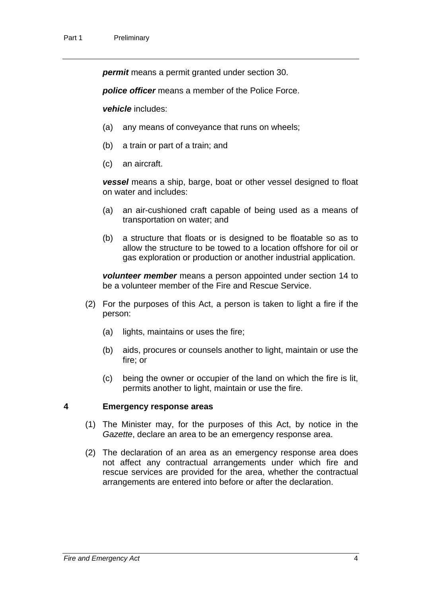*permit* means a permit granted under section 30.

*police officer* means a member of the Police Force.

*vehicle* includes:

- (a) any means of conveyance that runs on wheels;
- (b) a train or part of a train; and
- (c) an aircraft.

*vessel* means a ship, barge, boat or other vessel designed to float on water and includes:

- (a) an air-cushioned craft capable of being used as a means of transportation on water; and
- (b) a structure that floats or is designed to be floatable so as to allow the structure to be towed to a location offshore for oil or gas exploration or production or another industrial application.

*volunteer member* means a person appointed under section 14 to be a volunteer member of the Fire and Rescue Service.

- (2) For the purposes of this Act, a person is taken to light a fire if the person:
	- (a) lights, maintains or uses the fire;
	- (b) aids, procures or counsels another to light, maintain or use the fire; or
	- (c) being the owner or occupier of the land on which the fire is lit, permits another to light, maintain or use the fire.

#### <span id="page-6-0"></span>**4 Emergency response areas**

- (1) The Minister may, for the purposes of this Act, by notice in the *Gazette*, declare an area to be an emergency response area.
- (2) The declaration of an area as an emergency response area does not affect any contractual arrangements under which fire and rescue services are provided for the area, whether the contractual arrangements are entered into before or after the declaration.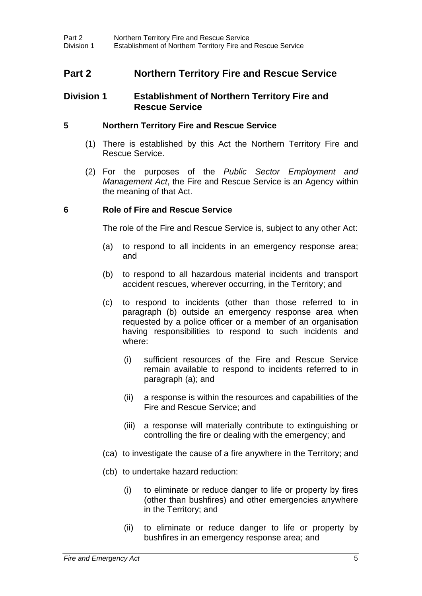# **Part 2 Northern Territory Fire and Rescue Service**

#### **Division 1 Establishment of Northern Territory Fire and Rescue Service**

#### <span id="page-7-0"></span>**5 Northern Territory Fire and Rescue Service**

- (1) There is established by this Act the Northern Territory Fire and Rescue Service.
- (2) For the purposes of the *Public Sector Employment and Management Act*, the Fire and Rescue Service is an Agency within the meaning of that Act.

#### <span id="page-7-1"></span>**6 Role of Fire and Rescue Service**

The role of the Fire and Rescue Service is, subject to any other Act:

- (a) to respond to all incidents in an emergency response area; and
- (b) to respond to all hazardous material incidents and transport accident rescues, wherever occurring, in the Territory; and
- (c) to respond to incidents (other than those referred to in paragraph (b) outside an emergency response area when requested by a police officer or a member of an organisation having responsibilities to respond to such incidents and where:
	- (i) sufficient resources of the Fire and Rescue Service remain available to respond to incidents referred to in paragraph (a); and
	- (ii) a response is within the resources and capabilities of the Fire and Rescue Service; and
	- (iii) a response will materially contribute to extinguishing or controlling the fire or dealing with the emergency; and
- (ca) to investigate the cause of a fire anywhere in the Territory; and
- (cb) to undertake hazard reduction:
	- (i) to eliminate or reduce danger to life or property by fires (other than bushfires) and other emergencies anywhere in the Territory; and
	- (ii) to eliminate or reduce danger to life or property by bushfires in an emergency response area; and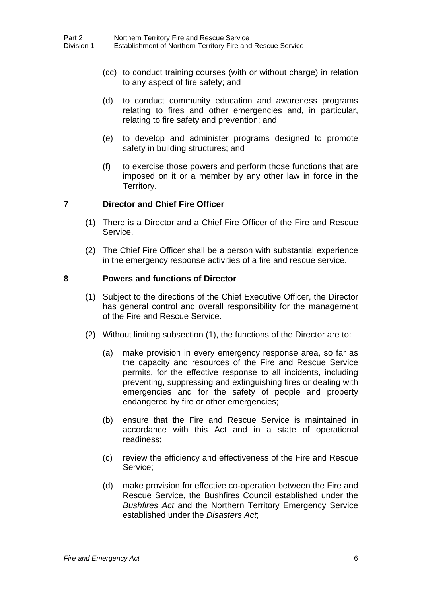- (cc) to conduct training courses (with or without charge) in relation to any aspect of fire safety; and
- (d) to conduct community education and awareness programs relating to fires and other emergencies and, in particular, relating to fire safety and prevention; and
- (e) to develop and administer programs designed to promote safety in building structures; and
- (f) to exercise those powers and perform those functions that are imposed on it or a member by any other law in force in the Territory.

#### <span id="page-8-0"></span>**7 Director and Chief Fire Officer**

- (1) There is a Director and a Chief Fire Officer of the Fire and Rescue Service.
- (2) The Chief Fire Officer shall be a person with substantial experience in the emergency response activities of a fire and rescue service.

#### <span id="page-8-1"></span>**8 Powers and functions of Director**

- (1) Subject to the directions of the Chief Executive Officer, the Director has general control and overall responsibility for the management of the Fire and Rescue Service.
- (2) Without limiting subsection (1), the functions of the Director are to:
	- (a) make provision in every emergency response area, so far as the capacity and resources of the Fire and Rescue Service permits, for the effective response to all incidents, including preventing, suppressing and extinguishing fires or dealing with emergencies and for the safety of people and property endangered by fire or other emergencies;
	- (b) ensure that the Fire and Rescue Service is maintained in accordance with this Act and in a state of operational readiness;
	- (c) review the efficiency and effectiveness of the Fire and Rescue Service;
	- (d) make provision for effective co-operation between the Fire and Rescue Service, the Bushfires Council established under the *Bushfires Act* and the Northern Territory Emergency Service established under the *Disasters Act*;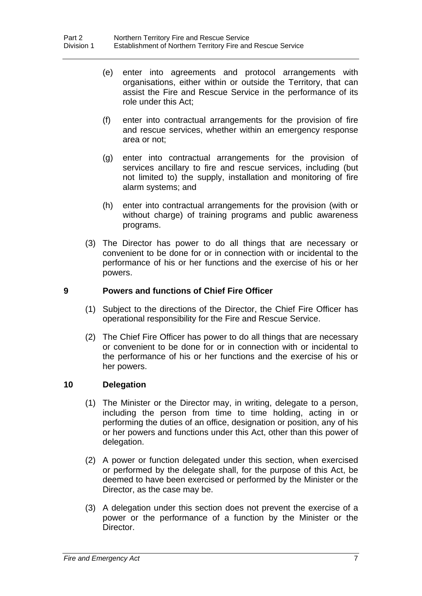- (e) enter into agreements and protocol arrangements with organisations, either within or outside the Territory, that can assist the Fire and Rescue Service in the performance of its role under this Act;
- (f) enter into contractual arrangements for the provision of fire and rescue services, whether within an emergency response area or not;
- (g) enter into contractual arrangements for the provision of services ancillary to fire and rescue services, including (but not limited to) the supply, installation and monitoring of fire alarm systems; and
- (h) enter into contractual arrangements for the provision (with or without charge) of training programs and public awareness programs.
- (3) The Director has power to do all things that are necessary or convenient to be done for or in connection with or incidental to the performance of his or her functions and the exercise of his or her powers.

### <span id="page-9-0"></span>**9 Powers and functions of Chief Fire Officer**

- (1) Subject to the directions of the Director, the Chief Fire Officer has operational responsibility for the Fire and Rescue Service.
- (2) The Chief Fire Officer has power to do all things that are necessary or convenient to be done for or in connection with or incidental to the performance of his or her functions and the exercise of his or her powers.

#### <span id="page-9-1"></span>**10 Delegation**

- (1) The Minister or the Director may, in writing, delegate to a person, including the person from time to time holding, acting in or performing the duties of an office, designation or position, any of his or her powers and functions under this Act, other than this power of delegation.
- (2) A power or function delegated under this section, when exercised or performed by the delegate shall, for the purpose of this Act, be deemed to have been exercised or performed by the Minister or the Director, as the case may be.
- (3) A delegation under this section does not prevent the exercise of a power or the performance of a function by the Minister or the Director.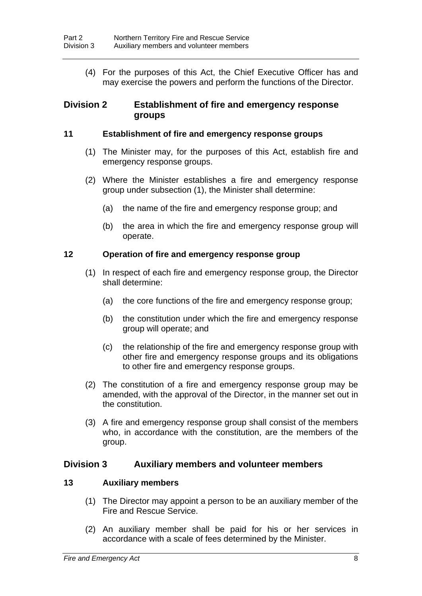(4) For the purposes of this Act, the Chief Executive Officer has and may exercise the powers and perform the functions of the Director.

### **Division 2 Establishment of fire and emergency response groups**

#### <span id="page-10-0"></span>**11 Establishment of fire and emergency response groups**

- (1) The Minister may, for the purposes of this Act, establish fire and emergency response groups.
- (2) Where the Minister establishes a fire and emergency response group under subsection (1), the Minister shall determine:
	- (a) the name of the fire and emergency response group; and
	- (b) the area in which the fire and emergency response group will operate.

#### <span id="page-10-1"></span>**12 Operation of fire and emergency response group**

- (1) In respect of each fire and emergency response group, the Director shall determine:
	- (a) the core functions of the fire and emergency response group;
	- (b) the constitution under which the fire and emergency response group will operate; and
	- (c) the relationship of the fire and emergency response group with other fire and emergency response groups and its obligations to other fire and emergency response groups.
- (2) The constitution of a fire and emergency response group may be amended, with the approval of the Director, in the manner set out in the constitution.
- (3) A fire and emergency response group shall consist of the members who, in accordance with the constitution, are the members of the group.

#### **Division 3 Auxiliary members and volunteer members**

#### <span id="page-10-2"></span>**13 Auxiliary members**

- (1) The Director may appoint a person to be an auxiliary member of the Fire and Rescue Service.
- (2) An auxiliary member shall be paid for his or her services in accordance with a scale of fees determined by the Minister.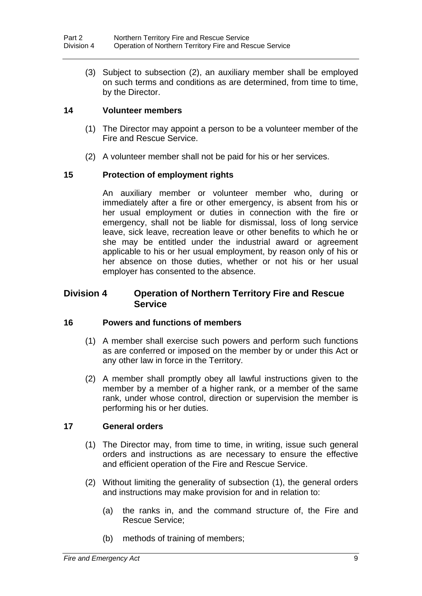(3) Subject to subsection (2), an auxiliary member shall be employed on such terms and conditions as are determined, from time to time, by the Director.

#### <span id="page-11-0"></span>**14 Volunteer members**

- (1) The Director may appoint a person to be a volunteer member of the Fire and Rescue Service.
- (2) A volunteer member shall not be paid for his or her services.

### <span id="page-11-1"></span>**15 Protection of employment rights**

An auxiliary member or volunteer member who, during or immediately after a fire or other emergency, is absent from his or her usual employment or duties in connection with the fire or emergency, shall not be liable for dismissal, loss of long service leave, sick leave, recreation leave or other benefits to which he or she may be entitled under the industrial award or agreement applicable to his or her usual employment, by reason only of his or her absence on those duties, whether or not his or her usual employer has consented to the absence.

### **Division 4 Operation of Northern Territory Fire and Rescue Service**

#### <span id="page-11-2"></span>**16 Powers and functions of members**

- (1) A member shall exercise such powers and perform such functions as are conferred or imposed on the member by or under this Act or any other law in force in the Territory.
- (2) A member shall promptly obey all lawful instructions given to the member by a member of a higher rank, or a member of the same rank, under whose control, direction or supervision the member is performing his or her duties.

#### <span id="page-11-3"></span>**17 General orders**

- (1) The Director may, from time to time, in writing, issue such general orders and instructions as are necessary to ensure the effective and efficient operation of the Fire and Rescue Service.
- (2) Without limiting the generality of subsection (1), the general orders and instructions may make provision for and in relation to:
	- (a) the ranks in, and the command structure of, the Fire and Rescue Service;
	- (b) methods of training of members;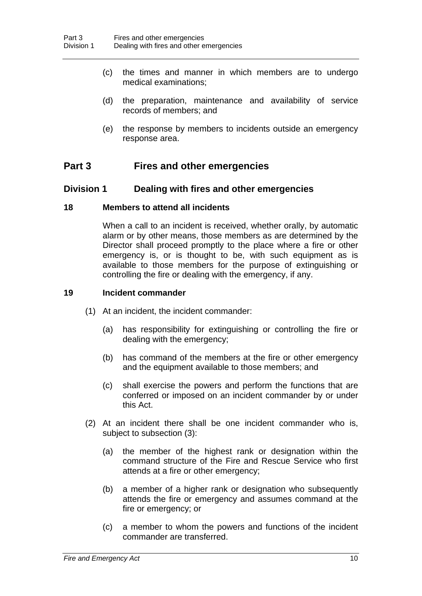- (c) the times and manner in which members are to undergo medical examinations;
- (d) the preparation, maintenance and availability of service records of members; and
- (e) the response by members to incidents outside an emergency response area.

# **Part 3 Fires and other emergencies**

### **Division 1 Dealing with fires and other emergencies**

#### <span id="page-12-0"></span>**18 Members to attend all incidents**

When a call to an incident is received, whether orally, by automatic alarm or by other means, those members as are determined by the Director shall proceed promptly to the place where a fire or other emergency is, or is thought to be, with such equipment as is available to those members for the purpose of extinguishing or controlling the fire or dealing with the emergency, if any.

#### <span id="page-12-1"></span>**19 Incident commander**

- (1) At an incident, the incident commander:
	- (a) has responsibility for extinguishing or controlling the fire or dealing with the emergency;
	- (b) has command of the members at the fire or other emergency and the equipment available to those members; and
	- (c) shall exercise the powers and perform the functions that are conferred or imposed on an incident commander by or under this Act.
- (2) At an incident there shall be one incident commander who is, subject to subsection (3):
	- (a) the member of the highest rank or designation within the command structure of the Fire and Rescue Service who first attends at a fire or other emergency;
	- (b) a member of a higher rank or designation who subsequently attends the fire or emergency and assumes command at the fire or emergency; or
	- (c) a member to whom the powers and functions of the incident commander are transferred.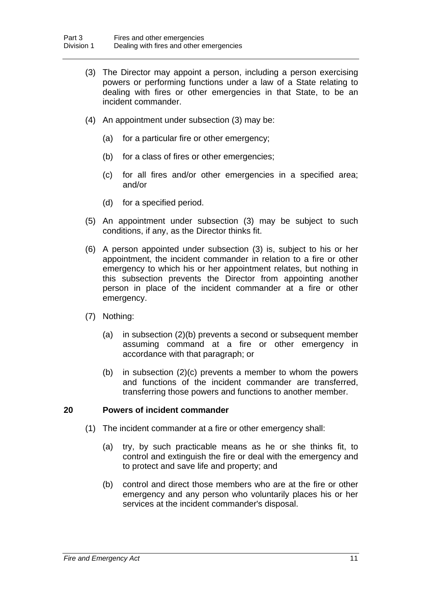- (3) The Director may appoint a person, including a person exercising powers or performing functions under a law of a State relating to dealing with fires or other emergencies in that State, to be an incident commander.
- (4) An appointment under subsection (3) may be:
	- (a) for a particular fire or other emergency;
	- (b) for a class of fires or other emergencies;
	- (c) for all fires and/or other emergencies in a specified area; and/or
	- (d) for a specified period.
- (5) An appointment under subsection (3) may be subject to such conditions, if any, as the Director thinks fit.
- (6) A person appointed under subsection (3) is, subject to his or her appointment, the incident commander in relation to a fire or other emergency to which his or her appointment relates, but nothing in this subsection prevents the Director from appointing another person in place of the incident commander at a fire or other emergency.
- (7) Nothing:
	- (a) in subsection (2)(b) prevents a second or subsequent member assuming command at a fire or other emergency in accordance with that paragraph; or
	- (b) in subsection (2)(c) prevents a member to whom the powers and functions of the incident commander are transferred, transferring those powers and functions to another member.

#### <span id="page-13-0"></span>**20 Powers of incident commander**

- (1) The incident commander at a fire or other emergency shall:
	- (a) try, by such practicable means as he or she thinks fit, to control and extinguish the fire or deal with the emergency and to protect and save life and property; and
	- (b) control and direct those members who are at the fire or other emergency and any person who voluntarily places his or her services at the incident commander's disposal.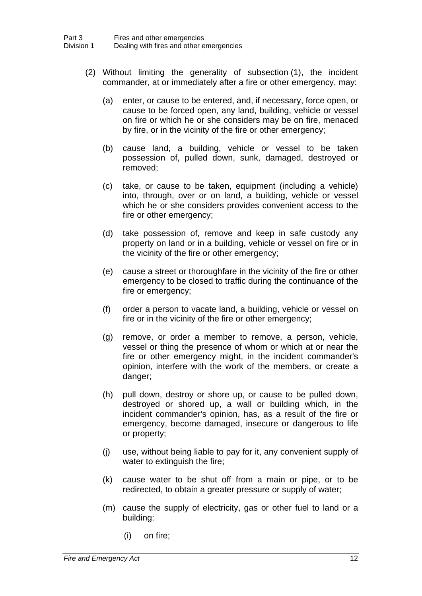- (2) Without limiting the generality of subsection (1), the incident commander, at or immediately after a fire or other emergency, may:
	- (a) enter, or cause to be entered, and, if necessary, force open, or cause to be forced open, any land, building, vehicle or vessel on fire or which he or she considers may be on fire, menaced by fire, or in the vicinity of the fire or other emergency;
	- (b) cause land, a building, vehicle or vessel to be taken possession of, pulled down, sunk, damaged, destroyed or removed;
	- (c) take, or cause to be taken, equipment (including a vehicle) into, through, over or on land, a building, vehicle or vessel which he or she considers provides convenient access to the fire or other emergency;
	- (d) take possession of, remove and keep in safe custody any property on land or in a building, vehicle or vessel on fire or in the vicinity of the fire or other emergency;
	- (e) cause a street or thoroughfare in the vicinity of the fire or other emergency to be closed to traffic during the continuance of the fire or emergency;
	- (f) order a person to vacate land, a building, vehicle or vessel on fire or in the vicinity of the fire or other emergency;
	- (g) remove, or order a member to remove, a person, vehicle, vessel or thing the presence of whom or which at or near the fire or other emergency might, in the incident commander's opinion, interfere with the work of the members, or create a danger:
	- (h) pull down, destroy or shore up, or cause to be pulled down, destroyed or shored up, a wall or building which, in the incident commander's opinion, has, as a result of the fire or emergency, become damaged, insecure or dangerous to life or property;
	- (j) use, without being liable to pay for it, any convenient supply of water to extinguish the fire;
	- (k) cause water to be shut off from a main or pipe, or to be redirected, to obtain a greater pressure or supply of water;
	- (m) cause the supply of electricity, gas or other fuel to land or a building:
		- (i) on fire;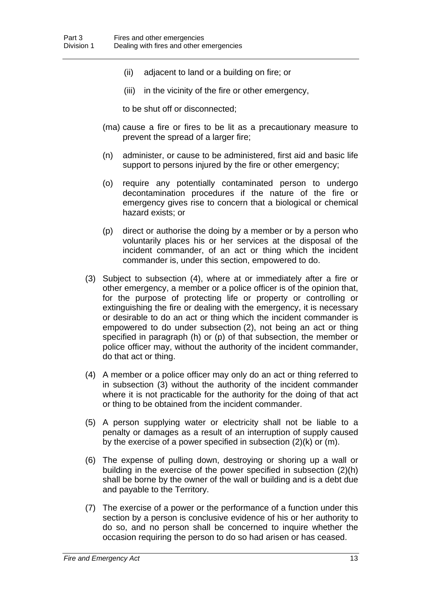- (ii) adjacent to land or a building on fire; or
- (iii) in the vicinity of the fire or other emergency,

to be shut off or disconnected;

- (ma) cause a fire or fires to be lit as a precautionary measure to prevent the spread of a larger fire;
- (n) administer, or cause to be administered, first aid and basic life support to persons injured by the fire or other emergency;
- (o) require any potentially contaminated person to undergo decontamination procedures if the nature of the fire or emergency gives rise to concern that a biological or chemical hazard exists; or
- (p) direct or authorise the doing by a member or by a person who voluntarily places his or her services at the disposal of the incident commander, of an act or thing which the incident commander is, under this section, empowered to do.
- (3) Subject to subsection (4), where at or immediately after a fire or other emergency, a member or a police officer is of the opinion that, for the purpose of protecting life or property or controlling or extinguishing the fire or dealing with the emergency, it is necessary or desirable to do an act or thing which the incident commander is empowered to do under subsection (2), not being an act or thing specified in paragraph (h) or (p) of that subsection, the member or police officer may, without the authority of the incident commander, do that act or thing.
- (4) A member or a police officer may only do an act or thing referred to in subsection (3) without the authority of the incident commander where it is not practicable for the authority for the doing of that act or thing to be obtained from the incident commander.
- (5) A person supplying water or electricity shall not be liable to a penalty or damages as a result of an interruption of supply caused by the exercise of a power specified in subsection (2)(k) or (m).
- (6) The expense of pulling down, destroying or shoring up a wall or building in the exercise of the power specified in subsection (2)(h) shall be borne by the owner of the wall or building and is a debt due and payable to the Territory.
- (7) The exercise of a power or the performance of a function under this section by a person is conclusive evidence of his or her authority to do so, and no person shall be concerned to inquire whether the occasion requiring the person to do so had arisen or has ceased.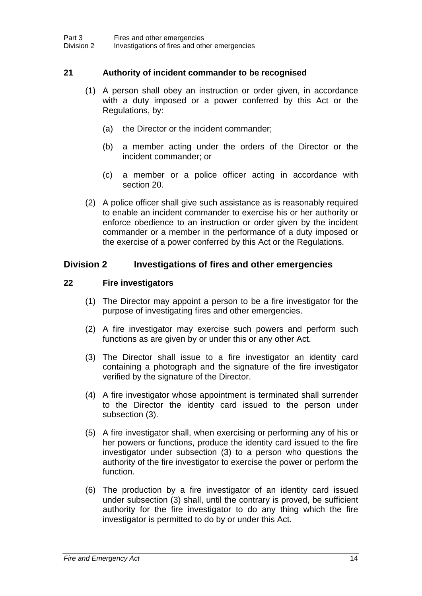#### <span id="page-16-0"></span>**21 Authority of incident commander to be recognised**

- (1) A person shall obey an instruction or order given, in accordance with a duty imposed or a power conferred by this Act or the Regulations, by:
	- (a) the Director or the incident commander;
	- (b) a member acting under the orders of the Director or the incident commander; or
	- (c) a member or a police officer acting in accordance with section 20.
- (2) A police officer shall give such assistance as is reasonably required to enable an incident commander to exercise his or her authority or enforce obedience to an instruction or order given by the incident commander or a member in the performance of a duty imposed or the exercise of a power conferred by this Act or the Regulations.

# **Division 2 Investigations of fires and other emergencies**

### <span id="page-16-1"></span>**22 Fire investigators**

- (1) The Director may appoint a person to be a fire investigator for the purpose of investigating fires and other emergencies.
- (2) A fire investigator may exercise such powers and perform such functions as are given by or under this or any other Act.
- (3) The Director shall issue to a fire investigator an identity card containing a photograph and the signature of the fire investigator verified by the signature of the Director.
- (4) A fire investigator whose appointment is terminated shall surrender to the Director the identity card issued to the person under subsection (3).
- (5) A fire investigator shall, when exercising or performing any of his or her powers or functions, produce the identity card issued to the fire investigator under subsection (3) to a person who questions the authority of the fire investigator to exercise the power or perform the function.
- (6) The production by a fire investigator of an identity card issued under subsection (3) shall, until the contrary is proved, be sufficient authority for the fire investigator to do any thing which the fire investigator is permitted to do by or under this Act.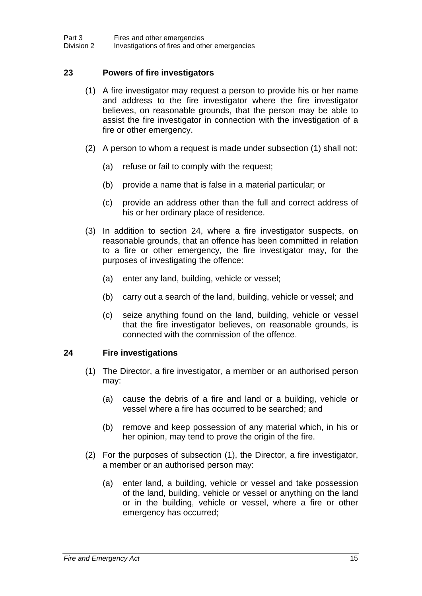#### <span id="page-17-0"></span>**23 Powers of fire investigators**

- (1) A fire investigator may request a person to provide his or her name and address to the fire investigator where the fire investigator believes, on reasonable grounds, that the person may be able to assist the fire investigator in connection with the investigation of a fire or other emergency.
- (2) A person to whom a request is made under subsection (1) shall not:
	- (a) refuse or fail to comply with the request;
	- (b) provide a name that is false in a material particular; or
	- (c) provide an address other than the full and correct address of his or her ordinary place of residence.
- (3) In addition to section 24, where a fire investigator suspects, on reasonable grounds, that an offence has been committed in relation to a fire or other emergency, the fire investigator may, for the purposes of investigating the offence:
	- (a) enter any land, building, vehicle or vessel;
	- (b) carry out a search of the land, building, vehicle or vessel; and
	- (c) seize anything found on the land, building, vehicle or vessel that the fire investigator believes, on reasonable grounds, is connected with the commission of the offence.

#### <span id="page-17-1"></span>**24 Fire investigations**

- (1) The Director, a fire investigator, a member or an authorised person may:
	- (a) cause the debris of a fire and land or a building, vehicle or vessel where a fire has occurred to be searched; and
	- (b) remove and keep possession of any material which, in his or her opinion, may tend to prove the origin of the fire.
- (2) For the purposes of subsection (1), the Director, a fire investigator, a member or an authorised person may:
	- (a) enter land, a building, vehicle or vessel and take possession of the land, building, vehicle or vessel or anything on the land or in the building, vehicle or vessel, where a fire or other emergency has occurred;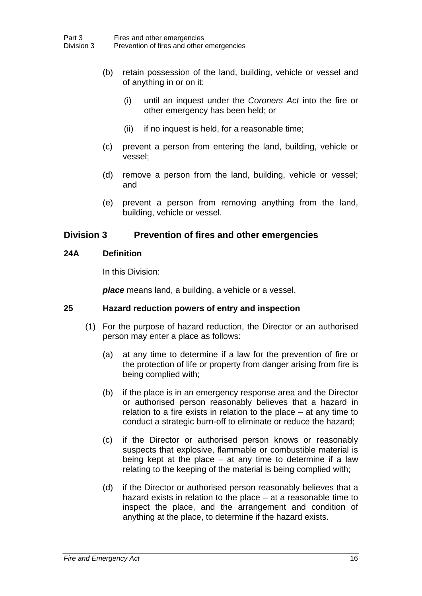- (b) retain possession of the land, building, vehicle or vessel and of anything in or on it:
	- (i) until an inquest under the *Coroners Act* into the fire or other emergency has been held; or
	- (ii) if no inquest is held, for a reasonable time;
- (c) prevent a person from entering the land, building, vehicle or vessel;
- (d) remove a person from the land, building, vehicle or vessel; and
- (e) prevent a person from removing anything from the land, building, vehicle or vessel.

### **Division 3 Prevention of fires and other emergencies**

#### <span id="page-18-0"></span>**24A Definition**

In this Division:

*place* means land, a building, a vehicle or a vessel.

#### <span id="page-18-1"></span>**25 Hazard reduction powers of entry and inspection**

- (1) For the purpose of hazard reduction, the Director or an authorised person may enter a place as follows:
	- (a) at any time to determine if a law for the prevention of fire or the protection of life or property from danger arising from fire is being complied with;
	- (b) if the place is in an emergency response area and the Director or authorised person reasonably believes that a hazard in relation to a fire exists in relation to the place – at any time to conduct a strategic burn-off to eliminate or reduce the hazard;
	- (c) if the Director or authorised person knows or reasonably suspects that explosive, flammable or combustible material is being kept at the place  $-$  at any time to determine if a law relating to the keeping of the material is being complied with;
	- (d) if the Director or authorised person reasonably believes that a hazard exists in relation to the place – at a reasonable time to inspect the place, and the arrangement and condition of anything at the place, to determine if the hazard exists.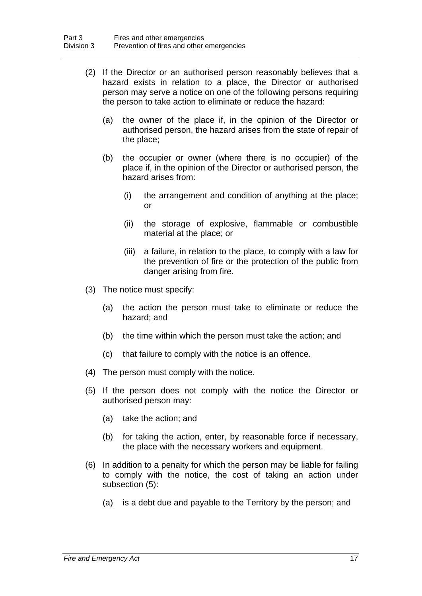- (2) If the Director or an authorised person reasonably believes that a hazard exists in relation to a place, the Director or authorised person may serve a notice on one of the following persons requiring the person to take action to eliminate or reduce the hazard:
	- (a) the owner of the place if, in the opinion of the Director or authorised person, the hazard arises from the state of repair of the place;
	- (b) the occupier or owner (where there is no occupier) of the place if, in the opinion of the Director or authorised person, the hazard arises from:
		- (i) the arrangement and condition of anything at the place; or
		- (ii) the storage of explosive, flammable or combustible material at the place; or
		- (iii) a failure, in relation to the place, to comply with a law for the prevention of fire or the protection of the public from danger arising from fire.
- (3) The notice must specify:
	- (a) the action the person must take to eliminate or reduce the hazard; and
	- (b) the time within which the person must take the action; and
	- (c) that failure to comply with the notice is an offence.
- (4) The person must comply with the notice.
- (5) If the person does not comply with the notice the Director or authorised person may:
	- (a) take the action; and
	- (b) for taking the action, enter, by reasonable force if necessary, the place with the necessary workers and equipment.
- (6) In addition to a penalty for which the person may be liable for failing to comply with the notice, the cost of taking an action under subsection (5):
	- (a) is a debt due and payable to the Territory by the person; and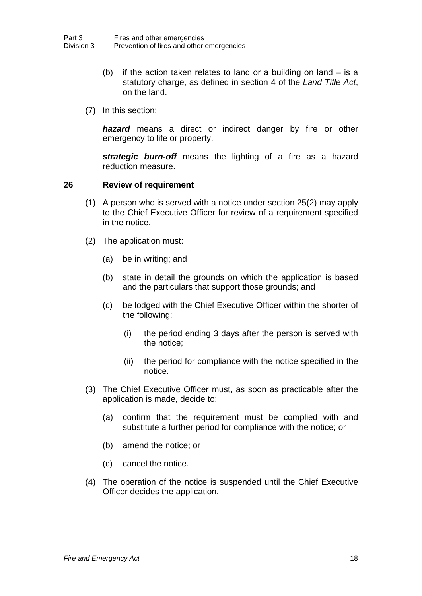- (b) if the action taken relates to land or a building on land is a statutory charge, as defined in section 4 of the *Land Title Act*, on the land.
- (7) In this section:

*hazard* means a direct or indirect danger by fire or other emergency to life or property.

*strategic burn-off* means the lighting of a fire as a hazard reduction measure.

#### <span id="page-20-0"></span>**26 Review of requirement**

- (1) A person who is served with a notice under section 25(2) may apply to the Chief Executive Officer for review of a requirement specified in the notice.
- (2) The application must:
	- (a) be in writing; and
	- (b) state in detail the grounds on which the application is based and the particulars that support those grounds; and
	- (c) be lodged with the Chief Executive Officer within the shorter of the following:
		- (i) the period ending 3 days after the person is served with the notice;
		- (ii) the period for compliance with the notice specified in the notice.
- (3) The Chief Executive Officer must, as soon as practicable after the application is made, decide to:
	- (a) confirm that the requirement must be complied with and substitute a further period for compliance with the notice; or
	- (b) amend the notice; or
	- (c) cancel the notice.
- (4) The operation of the notice is suspended until the Chief Executive Officer decides the application.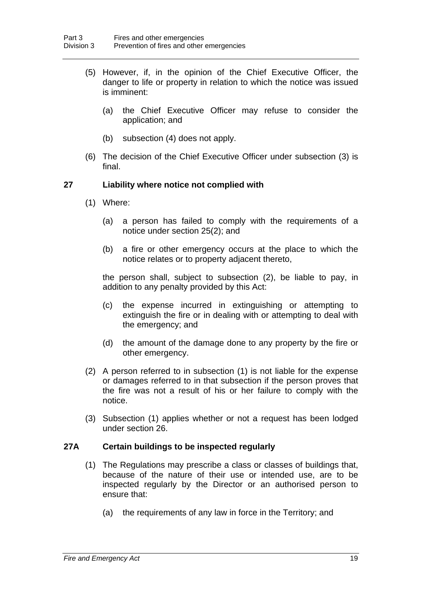- (5) However, if, in the opinion of the Chief Executive Officer, the danger to life or property in relation to which the notice was issued is imminent:
	- (a) the Chief Executive Officer may refuse to consider the application; and
	- (b) subsection (4) does not apply.
- (6) The decision of the Chief Executive Officer under subsection (3) is final.

#### <span id="page-21-0"></span>**27 Liability where notice not complied with**

- (1) Where:
	- (a) a person has failed to comply with the requirements of a notice under section 25(2); and
	- (b) a fire or other emergency occurs at the place to which the notice relates or to property adjacent thereto,

the person shall, subject to subsection (2), be liable to pay, in addition to any penalty provided by this Act:

- (c) the expense incurred in extinguishing or attempting to extinguish the fire or in dealing with or attempting to deal with the emergency; and
- (d) the amount of the damage done to any property by the fire or other emergency.
- (2) A person referred to in subsection (1) is not liable for the expense or damages referred to in that subsection if the person proves that the fire was not a result of his or her failure to comply with the notice.
- (3) Subsection (1) applies whether or not a request has been lodged under section 26.

#### <span id="page-21-1"></span>**27A Certain buildings to be inspected regularly**

- (1) The Regulations may prescribe a class or classes of buildings that, because of the nature of their use or intended use, are to be inspected regularly by the Director or an authorised person to ensure that:
	- (a) the requirements of any law in force in the Territory; and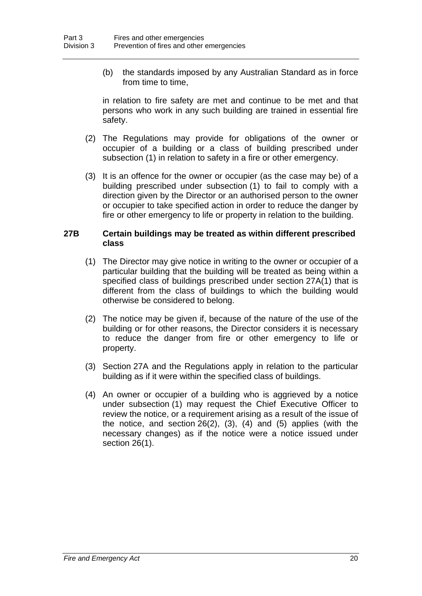(b) the standards imposed by any Australian Standard as in force from time to time,

in relation to fire safety are met and continue to be met and that persons who work in any such building are trained in essential fire safety.

- (2) The Regulations may provide for obligations of the owner or occupier of a building or a class of building prescribed under subsection (1) in relation to safety in a fire or other emergency.
- (3) It is an offence for the owner or occupier (as the case may be) of a building prescribed under subsection (1) to fail to comply with a direction given by the Director or an authorised person to the owner or occupier to take specified action in order to reduce the danger by fire or other emergency to life or property in relation to the building.

#### <span id="page-22-0"></span>**27B Certain buildings may be treated as within different prescribed class**

- (1) The Director may give notice in writing to the owner or occupier of a particular building that the building will be treated as being within a specified class of buildings prescribed under section 27A(1) that is different from the class of buildings to which the building would otherwise be considered to belong.
- (2) The notice may be given if, because of the nature of the use of the building or for other reasons, the Director considers it is necessary to reduce the danger from fire or other emergency to life or property.
- (3) Section 27A and the Regulations apply in relation to the particular building as if it were within the specified class of buildings.
- (4) An owner or occupier of a building who is aggrieved by a notice under subsection (1) may request the Chief Executive Officer to review the notice, or a requirement arising as a result of the issue of the notice, and section 26(2), (3), (4) and (5) applies (with the necessary changes) as if the notice were a notice issued under section 26(1).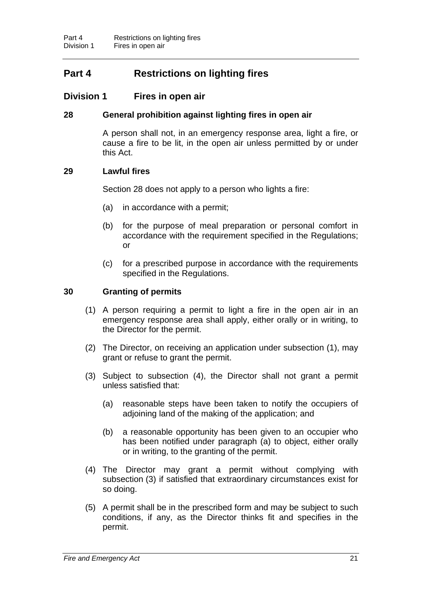# **Part 4 Restrictions on lighting fires**

### **Division 1 Fires in open air**

### <span id="page-23-0"></span>**28 General prohibition against lighting fires in open air**

A person shall not, in an emergency response area, light a fire, or cause a fire to be lit, in the open air unless permitted by or under this Act.

#### <span id="page-23-1"></span>**29 Lawful fires**

Section 28 does not apply to a person who lights a fire:

- (a) in accordance with a permit;
- (b) for the purpose of meal preparation or personal comfort in accordance with the requirement specified in the Regulations; or
- (c) for a prescribed purpose in accordance with the requirements specified in the Regulations.

### <span id="page-23-2"></span>**30 Granting of permits**

- (1) A person requiring a permit to light a fire in the open air in an emergency response area shall apply, either orally or in writing, to the Director for the permit.
- (2) The Director, on receiving an application under subsection (1), may grant or refuse to grant the permit.
- (3) Subject to subsection (4), the Director shall not grant a permit unless satisfied that:
	- (a) reasonable steps have been taken to notify the occupiers of adjoining land of the making of the application; and
	- (b) a reasonable opportunity has been given to an occupier who has been notified under paragraph (a) to object, either orally or in writing, to the granting of the permit.
- (4) The Director may grant a permit without complying with subsection (3) if satisfied that extraordinary circumstances exist for so doing.
- (5) A permit shall be in the prescribed form and may be subject to such conditions, if any, as the Director thinks fit and specifies in the permit.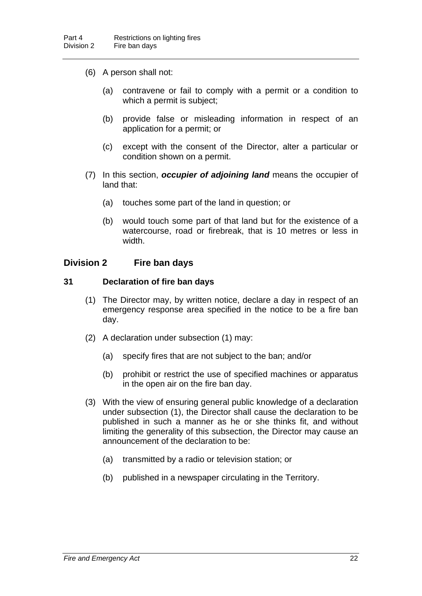- (6) A person shall not:
	- (a) contravene or fail to comply with a permit or a condition to which a permit is subject;
	- (b) provide false or misleading information in respect of an application for a permit; or
	- (c) except with the consent of the Director, alter a particular or condition shown on a permit.
- (7) In this section, *occupier of adjoining land* means the occupier of land that:
	- (a) touches some part of the land in question; or
	- (b) would touch some part of that land but for the existence of a watercourse, road or firebreak, that is 10 metres or less in width.

### **Division 2 Fire ban days**

#### <span id="page-24-0"></span>**31 Declaration of fire ban days**

- (1) The Director may, by written notice, declare a day in respect of an emergency response area specified in the notice to be a fire ban day.
- (2) A declaration under subsection (1) may:
	- (a) specify fires that are not subject to the ban; and/or
	- (b) prohibit or restrict the use of specified machines or apparatus in the open air on the fire ban day.
- (3) With the view of ensuring general public knowledge of a declaration under subsection (1), the Director shall cause the declaration to be published in such a manner as he or she thinks fit, and without limiting the generality of this subsection, the Director may cause an announcement of the declaration to be:
	- (a) transmitted by a radio or television station; or
	- (b) published in a newspaper circulating in the Territory.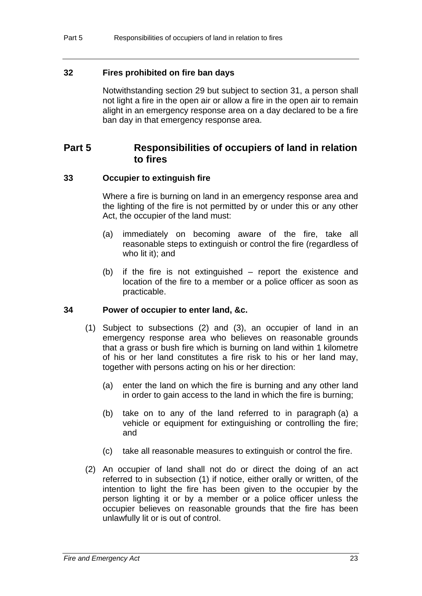### <span id="page-25-0"></span>**32 Fires prohibited on fire ban days**

Notwithstanding section 29 but subject to section 31, a person shall not light a fire in the open air or allow a fire in the open air to remain alight in an emergency response area on a day declared to be a fire ban day in that emergency response area.

# **Part 5 Responsibilities of occupiers of land in relation to fires**

### <span id="page-25-1"></span>**33 Occupier to extinguish fire**

Where a fire is burning on land in an emergency response area and the lighting of the fire is not permitted by or under this or any other Act, the occupier of the land must:

- (a) immediately on becoming aware of the fire, take all reasonable steps to extinguish or control the fire (regardless of who lit it); and
- (b) if the fire is not extinguished report the existence and location of the fire to a member or a police officer as soon as practicable.

#### <span id="page-25-2"></span>**34 Power of occupier to enter land, &c.**

- (1) Subject to subsections (2) and (3), an occupier of land in an emergency response area who believes on reasonable grounds that a grass or bush fire which is burning on land within 1 kilometre of his or her land constitutes a fire risk to his or her land may, together with persons acting on his or her direction:
	- (a) enter the land on which the fire is burning and any other land in order to gain access to the land in which the fire is burning;
	- (b) take on to any of the land referred to in paragraph (a) a vehicle or equipment for extinguishing or controlling the fire; and
	- (c) take all reasonable measures to extinguish or control the fire.
- (2) An occupier of land shall not do or direct the doing of an act referred to in subsection (1) if notice, either orally or written, of the intention to light the fire has been given to the occupier by the person lighting it or by a member or a police officer unless the occupier believes on reasonable grounds that the fire has been unlawfully lit or is out of control.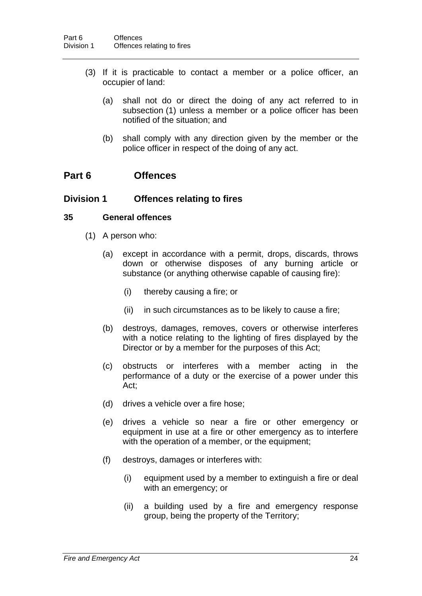- (3) If it is practicable to contact a member or a police officer, an occupier of land:
	- (a) shall not do or direct the doing of any act referred to in subsection (1) unless a member or a police officer has been notified of the situation; and
	- (b) shall comply with any direction given by the member or the police officer in respect of the doing of any act.

# **Part 6 Offences**

### **Division 1 Offences relating to fires**

#### <span id="page-26-0"></span>**35 General offences**

- (1) A person who:
	- (a) except in accordance with a permit, drops, discards, throws down or otherwise disposes of any burning article or substance (or anything otherwise capable of causing fire):
		- (i) thereby causing a fire; or
		- (ii) in such circumstances as to be likely to cause a fire;
	- (b) destroys, damages, removes, covers or otherwise interferes with a notice relating to the lighting of fires displayed by the Director or by a member for the purposes of this Act;
	- (c) obstructs or interferes with a member acting in the performance of a duty or the exercise of a power under this Act;
	- (d) drives a vehicle over a fire hose;
	- (e) drives a vehicle so near a fire or other emergency or equipment in use at a fire or other emergency as to interfere with the operation of a member, or the equipment;
	- (f) destroys, damages or interferes with:
		- (i) equipment used by a member to extinguish a fire or deal with an emergency; or
		- (ii) a building used by a fire and emergency response group, being the property of the Territory;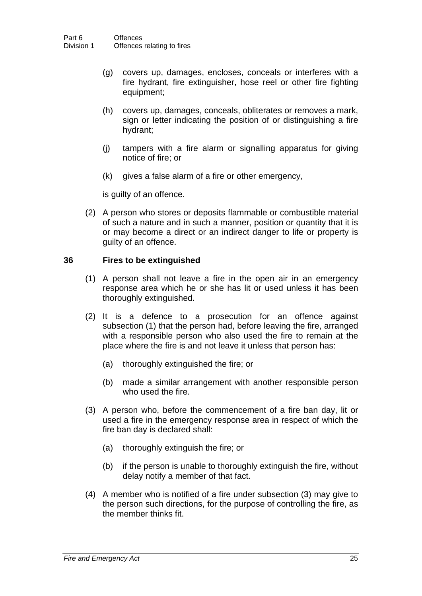- (g) covers up, damages, encloses, conceals or interferes with a fire hydrant, fire extinguisher, hose reel or other fire fighting equipment;
- (h) covers up, damages, conceals, obliterates or removes a mark, sign or letter indicating the position of or distinguishing a fire hydrant;
- (j) tampers with a fire alarm or signalling apparatus for giving notice of fire; or
- (k) gives a false alarm of a fire or other emergency,

is guilty of an offence.

 (2) A person who stores or deposits flammable or combustible material of such a nature and in such a manner, position or quantity that it is or may become a direct or an indirect danger to life or property is guilty of an offence.

### <span id="page-27-0"></span>**36 Fires to be extinguished**

- (1) A person shall not leave a fire in the open air in an emergency response area which he or she has lit or used unless it has been thoroughly extinguished.
- (2) It is a defence to a prosecution for an offence against subsection (1) that the person had, before leaving the fire, arranged with a responsible person who also used the fire to remain at the place where the fire is and not leave it unless that person has:
	- (a) thoroughly extinguished the fire; or
	- (b) made a similar arrangement with another responsible person who used the fire.
- (3) A person who, before the commencement of a fire ban day, lit or used a fire in the emergency response area in respect of which the fire ban day is declared shall:
	- (a) thoroughly extinguish the fire; or
	- (b) if the person is unable to thoroughly extinguish the fire, without delay notify a member of that fact.
- (4) A member who is notified of a fire under subsection (3) may give to the person such directions, for the purpose of controlling the fire, as the member thinks fit.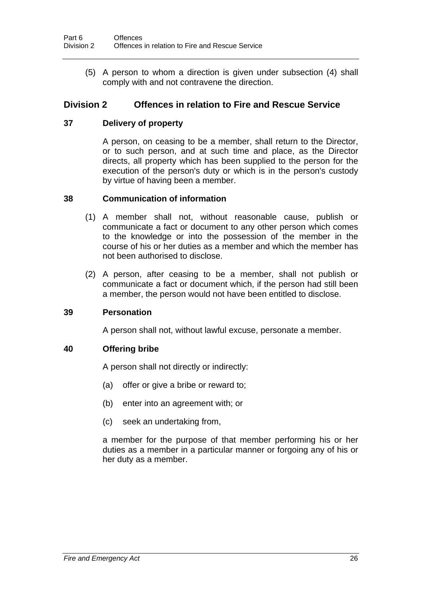(5) A person to whom a direction is given under subsection (4) shall comply with and not contravene the direction.

# **Division 2 Offences in relation to Fire and Rescue Service**

### <span id="page-28-0"></span>**37 Delivery of property**

A person, on ceasing to be a member, shall return to the Director, or to such person, and at such time and place, as the Director directs, all property which has been supplied to the person for the execution of the person's duty or which is in the person's custody by virtue of having been a member.

### <span id="page-28-1"></span>**38 Communication of information**

- (1) A member shall not, without reasonable cause, publish or communicate a fact or document to any other person which comes to the knowledge or into the possession of the member in the course of his or her duties as a member and which the member has not been authorised to disclose.
- (2) A person, after ceasing to be a member, shall not publish or communicate a fact or document which, if the person had still been a member, the person would not have been entitled to disclose.

#### <span id="page-28-2"></span>**39 Personation**

A person shall not, without lawful excuse, personate a member.

### <span id="page-28-3"></span>**40 Offering bribe**

A person shall not directly or indirectly:

- (a) offer or give a bribe or reward to;
- (b) enter into an agreement with; or
- (c) seek an undertaking from,

a member for the purpose of that member performing his or her duties as a member in a particular manner or forgoing any of his or her duty as a member.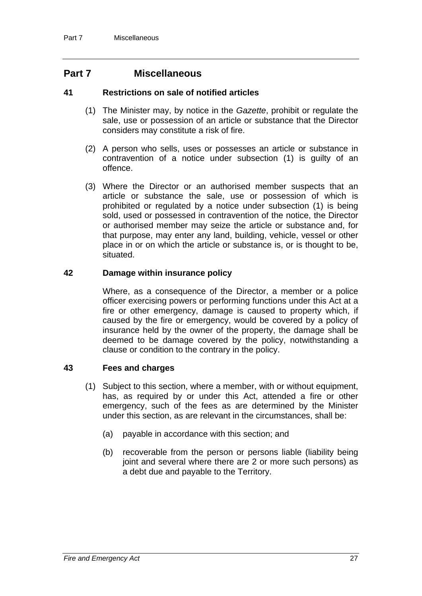# **Part 7 Miscellaneous**

#### <span id="page-29-0"></span>**41 Restrictions on sale of notified articles**

- (1) The Minister may, by notice in the *Gazette*, prohibit or regulate the sale, use or possession of an article or substance that the Director considers may constitute a risk of fire.
- (2) A person who sells, uses or possesses an article or substance in contravention of a notice under subsection (1) is guilty of an offence.
- (3) Where the Director or an authorised member suspects that an article or substance the sale, use or possession of which is prohibited or regulated by a notice under subsection (1) is being sold, used or possessed in contravention of the notice, the Director or authorised member may seize the article or substance and, for that purpose, may enter any land, building, vehicle, vessel or other place in or on which the article or substance is, or is thought to be, situated.

### <span id="page-29-1"></span>**42 Damage within insurance policy**

Where, as a consequence of the Director, a member or a police officer exercising powers or performing functions under this Act at a fire or other emergency, damage is caused to property which, if caused by the fire or emergency, would be covered by a policy of insurance held by the owner of the property, the damage shall be deemed to be damage covered by the policy, notwithstanding a clause or condition to the contrary in the policy.

#### <span id="page-29-2"></span>**43 Fees and charges**

- (1) Subject to this section, where a member, with or without equipment, has, as required by or under this Act, attended a fire or other emergency, such of the fees as are determined by the Minister under this section, as are relevant in the circumstances, shall be:
	- (a) payable in accordance with this section; and
	- (b) recoverable from the person or persons liable (liability being joint and several where there are 2 or more such persons) as a debt due and payable to the Territory.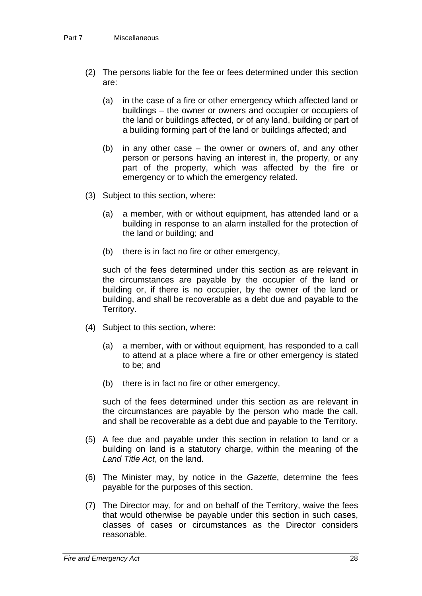- (2) The persons liable for the fee or fees determined under this section are:
	- (a) in the case of a fire or other emergency which affected land or buildings – the owner or owners and occupier or occupiers of the land or buildings affected, or of any land, building or part of a building forming part of the land or buildings affected; and
	- (b) in any other case the owner or owners of, and any other person or persons having an interest in, the property, or any part of the property, which was affected by the fire or emergency or to which the emergency related.
- (3) Subject to this section, where:
	- (a) a member, with or without equipment, has attended land or a building in response to an alarm installed for the protection of the land or building; and
	- (b) there is in fact no fire or other emergency,

such of the fees determined under this section as are relevant in the circumstances are payable by the occupier of the land or building or, if there is no occupier, by the owner of the land or building, and shall be recoverable as a debt due and payable to the Territory.

- (4) Subject to this section, where:
	- (a) a member, with or without equipment, has responded to a call to attend at a place where a fire or other emergency is stated to be; and
	- (b) there is in fact no fire or other emergency,

such of the fees determined under this section as are relevant in the circumstances are payable by the person who made the call, and shall be recoverable as a debt due and payable to the Territory.

- (5) A fee due and payable under this section in relation to land or a building on land is a statutory charge, within the meaning of the *Land Title Act*, on the land.
- (6) The Minister may, by notice in the *Gazette*, determine the fees payable for the purposes of this section.
- (7) The Director may, for and on behalf of the Territory, waive the fees that would otherwise be payable under this section in such cases, classes of cases or circumstances as the Director considers reasonable.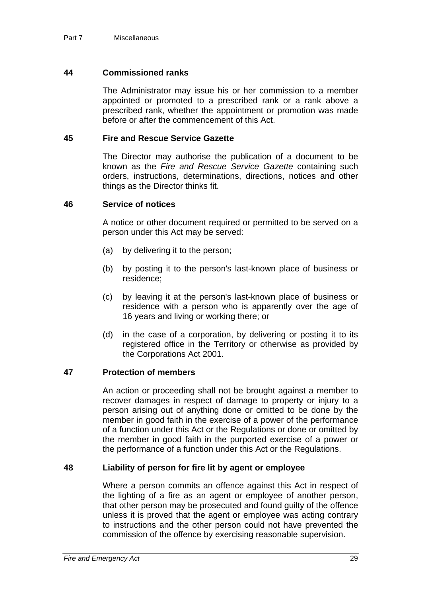#### <span id="page-31-0"></span>**44 Commissioned ranks**

The Administrator may issue his or her commission to a member appointed or promoted to a prescribed rank or a rank above a prescribed rank, whether the appointment or promotion was made before or after the commencement of this Act.

#### <span id="page-31-1"></span>**45 Fire and Rescue Service Gazette**

The Director may authorise the publication of a document to be known as the *Fire and Rescue Service Gazette* containing such orders, instructions, determinations, directions, notices and other things as the Director thinks fit.

#### <span id="page-31-2"></span>**46 Service of notices**

A notice or other document required or permitted to be served on a person under this Act may be served:

- (a) by delivering it to the person;
- (b) by posting it to the person's last-known place of business or residence;
- (c) by leaving it at the person's last-known place of business or residence with a person who is apparently over the age of 16 years and living or working there; or
- (d) in the case of a corporation, by delivering or posting it to its registered office in the Territory or otherwise as provided by the Corporations Act 2001.

#### <span id="page-31-3"></span>**47 Protection of members**

An action or proceeding shall not be brought against a member to recover damages in respect of damage to property or injury to a person arising out of anything done or omitted to be done by the member in good faith in the exercise of a power of the performance of a function under this Act or the Regulations or done or omitted by the member in good faith in the purported exercise of a power or the performance of a function under this Act or the Regulations.

#### <span id="page-31-4"></span>**48 Liability of person for fire lit by agent or employee**

Where a person commits an offence against this Act in respect of the lighting of a fire as an agent or employee of another person, that other person may be prosecuted and found guilty of the offence unless it is proved that the agent or employee was acting contrary to instructions and the other person could not have prevented the commission of the offence by exercising reasonable supervision.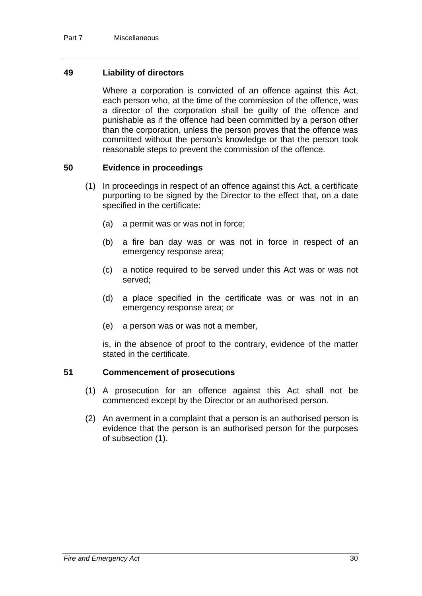#### <span id="page-32-0"></span>**49 Liability of directors**

Where a corporation is convicted of an offence against this Act, each person who, at the time of the commission of the offence, was a director of the corporation shall be guilty of the offence and punishable as if the offence had been committed by a person other than the corporation, unless the person proves that the offence was committed without the person's knowledge or that the person took reasonable steps to prevent the commission of the offence.

#### <span id="page-32-1"></span>**50 Evidence in proceedings**

- (1) In proceedings in respect of an offence against this Act, a certificate purporting to be signed by the Director to the effect that, on a date specified in the certificate:
	- (a) a permit was or was not in force;
	- (b) a fire ban day was or was not in force in respect of an emergency response area;
	- (c) a notice required to be served under this Act was or was not served;
	- (d) a place specified in the certificate was or was not in an emergency response area; or
	- (e) a person was or was not a member,

is, in the absence of proof to the contrary, evidence of the matter stated in the certificate.

#### <span id="page-32-2"></span>**51 Commencement of prosecutions**

- (1) A prosecution for an offence against this Act shall not be commenced except by the Director or an authorised person.
- (2) An averment in a complaint that a person is an authorised person is evidence that the person is an authorised person for the purposes of subsection (1).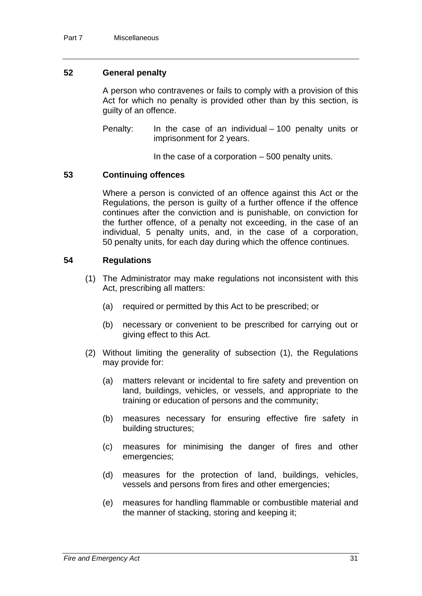#### <span id="page-33-0"></span>**52 General penalty**

A person who contravenes or fails to comply with a provision of this Act for which no penalty is provided other than by this section, is guilty of an offence.

Penalty: In the case of an individual – 100 penalty units or imprisonment for 2 years.

In the case of a corporation  $-500$  penalty units.

#### <span id="page-33-1"></span>**53 Continuing offences**

Where a person is convicted of an offence against this Act or the Regulations, the person is guilty of a further offence if the offence continues after the conviction and is punishable, on conviction for the further offence, of a penalty not exceeding, in the case of an individual, 5 penalty units, and, in the case of a corporation, 50 penalty units, for each day during which the offence continues.

#### <span id="page-33-2"></span>**54 Regulations**

- (1) The Administrator may make regulations not inconsistent with this Act, prescribing all matters:
	- (a) required or permitted by this Act to be prescribed; or
	- (b) necessary or convenient to be prescribed for carrying out or giving effect to this Act.
- (2) Without limiting the generality of subsection (1), the Regulations may provide for:
	- (a) matters relevant or incidental to fire safety and prevention on land, buildings, vehicles, or vessels, and appropriate to the training or education of persons and the community;
	- (b) measures necessary for ensuring effective fire safety in building structures;
	- (c) measures for minimising the danger of fires and other emergencies;
	- (d) measures for the protection of land, buildings, vehicles, vessels and persons from fires and other emergencies;
	- (e) measures for handling flammable or combustible material and the manner of stacking, storing and keeping it;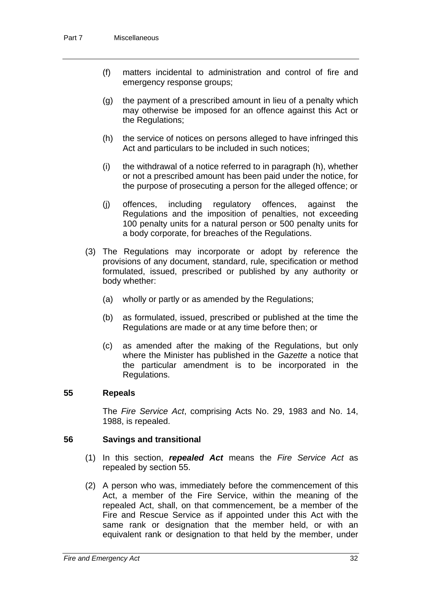- (f) matters incidental to administration and control of fire and emergency response groups;
- (g) the payment of a prescribed amount in lieu of a penalty which may otherwise be imposed for an offence against this Act or the Regulations;
- (h) the service of notices on persons alleged to have infringed this Act and particulars to be included in such notices;
- (i) the withdrawal of a notice referred to in paragraph (h), whether or not a prescribed amount has been paid under the notice, for the purpose of prosecuting a person for the alleged offence; or
- (j) offences, including regulatory offences, against the Regulations and the imposition of penalties, not exceeding 100 penalty units for a natural person or 500 penalty units for a body corporate, for breaches of the Regulations.
- (3) The Regulations may incorporate or adopt by reference the provisions of any document, standard, rule, specification or method formulated, issued, prescribed or published by any authority or body whether:
	- (a) wholly or partly or as amended by the Regulations;
	- (b) as formulated, issued, prescribed or published at the time the Regulations are made or at any time before then; or
	- (c) as amended after the making of the Regulations, but only where the Minister has published in the *Gazette* a notice that the particular amendment is to be incorporated in the Regulations.

#### <span id="page-34-0"></span>**55 Repeals**

The *Fire Service Act*, comprising Acts No. 29, 1983 and No. 14, 1988, is repealed.

#### <span id="page-34-1"></span>**56 Savings and transitional**

- (1) In this section, *repealed Act* means the *Fire Service Act* as repealed by section 55.
- (2) A person who was, immediately before the commencement of this Act, a member of the Fire Service, within the meaning of the repealed Act, shall, on that commencement, be a member of the Fire and Rescue Service as if appointed under this Act with the same rank or designation that the member held, or with an equivalent rank or designation to that held by the member, under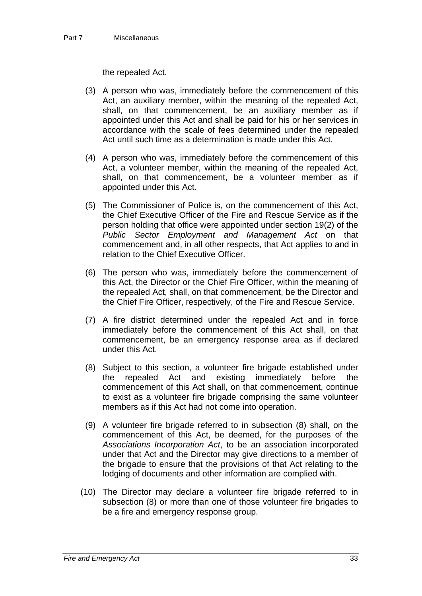the repealed Act.

- (3) A person who was, immediately before the commencement of this Act, an auxiliary member, within the meaning of the repealed Act, shall, on that commencement, be an auxiliary member as if appointed under this Act and shall be paid for his or her services in accordance with the scale of fees determined under the repealed Act until such time as a determination is made under this Act.
- (4) A person who was, immediately before the commencement of this Act, a volunteer member, within the meaning of the repealed Act, shall, on that commencement, be a volunteer member as if appointed under this Act.
- (5) The Commissioner of Police is, on the commencement of this Act, the Chief Executive Officer of the Fire and Rescue Service as if the person holding that office were appointed under section 19(2) of the *Public Sector Employment and Management Act* on that commencement and, in all other respects, that Act applies to and in relation to the Chief Executive Officer.
- (6) The person who was, immediately before the commencement of this Act, the Director or the Chief Fire Officer, within the meaning of the repealed Act, shall, on that commencement, be the Director and the Chief Fire Officer, respectively, of the Fire and Rescue Service.
- (7) A fire district determined under the repealed Act and in force immediately before the commencement of this Act shall, on that commencement, be an emergency response area as if declared under this Act.
- (8) Subject to this section, a volunteer fire brigade established under the repealed Act and existing immediately before the commencement of this Act shall, on that commencement, continue to exist as a volunteer fire brigade comprising the same volunteer members as if this Act had not come into operation.
- (9) A volunteer fire brigade referred to in subsection (8) shall, on the commencement of this Act, be deemed, for the purposes of the *Associations Incorporation Act*, to be an association incorporated under that Act and the Director may give directions to a member of the brigade to ensure that the provisions of that Act relating to the lodging of documents and other information are complied with.
- (10) The Director may declare a volunteer fire brigade referred to in subsection (8) or more than one of those volunteer fire brigades to be a fire and emergency response group.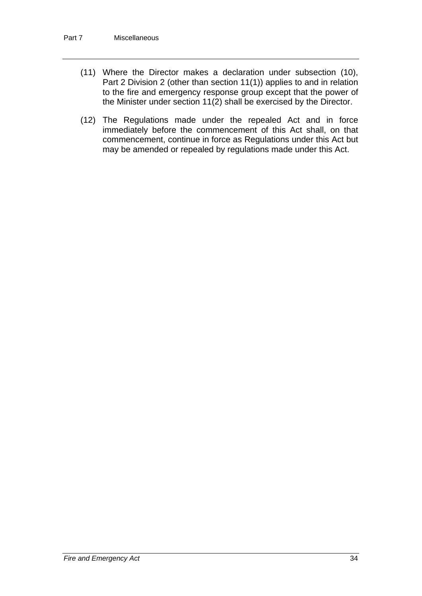- (11) Where the Director makes a declaration under subsection (10), Part 2 Division 2 (other than section 11(1)) applies to and in relation to the fire and emergency response group except that the power of the Minister under section 11(2) shall be exercised by the Director.
- (12) The Regulations made under the repealed Act and in force immediately before the commencement of this Act shall, on that commencement, continue in force as Regulations under this Act but may be amended or repealed by regulations made under this Act.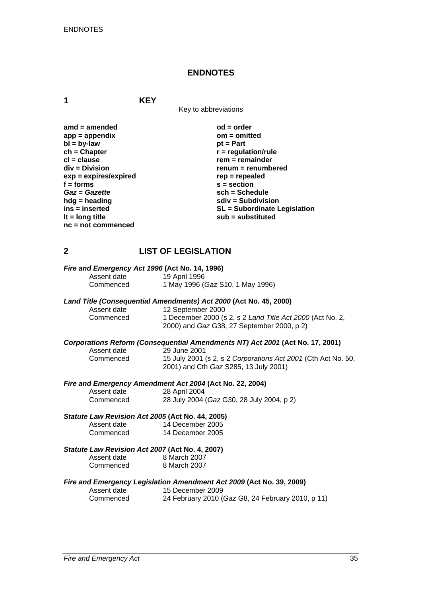#### **ENDNOTES**

**1 KEY**

Key to abbreviations

amd = amended od = order<br>
app = appendix **butch** on = omitted app = appendix om = om<br>bl = by-law bt = Part  $b\bar{b}$  = by-law **ch = Chapter r = regulation/rule in the clause of the clause of the clause of the clause of the clause of the clause of the clause of the clause of the clause of the clause of the clause of the clause of the clause of the cl = clause rem = remainder**<br>div = Division **rem = remainder** *renum* = renumb **exp = expires/expired rep = repealed**  f = forms s = section *Gaz* **=** *Gazette* **sch = Schedule hdg = heading solid solid solid state in the subdivision in the subdivision solid solid state subdivision lt = long title sub = substituted nc = not commenced** 

renum = renumbered **ins = inserted SL = Subordinate Legislation** 

# **2 LIST OF LEGISLATION**

# *Fire and Emergency Act 1996* **(Act No. 14, 1996)**

Assent date 19 April 1996<br>Commenced 1 May 1996 (

#### *Land Title (Consequential Amendments) Act 2000* **(Act No. 45, 2000)**

| Assent date | 12 September 2000                                         |
|-------------|-----------------------------------------------------------|
| Commenced   | 1 December 2000 (s 2, s 2 Land Title Act 2000 (Act No. 2, |
|             | 2000) and Gaz G38, 27 September 2000, p 2)                |

Commenced 1 May 1996 (*Gaz* S10, 1 May 1996)

#### *Corporations Reform (Consequential Amendments NT) Act 2001* **(Act No. 17, 2001)**

| Assent date | 29 June 2001                                                  |
|-------------|---------------------------------------------------------------|
| Commenced   | 15 July 2001 (s 2, s 2 Corporations Act 2001 (Cth Act No. 50, |
|             | 2001) and Cth Gaz S285, 13 July 2001)                         |

#### *Fire and Emergency Amendment Act 2004* **(Act No. 22, 2004)**

| Assent date | 28 April 2004                             |
|-------------|-------------------------------------------|
| Commenced   | 28 July 2004 (Gaz G30, 28 July 2004, p 2) |

#### *Statute Law Revision Act 2005* **(Act No. 44, 2005)**

| Assent date | 14 December 2005 |
|-------------|------------------|
| Commenced   | 14 December 2005 |

#### *Statute Law Revision Act 2007* **(Act No. 4, 2007)**

| Assent date | 8 March 2007 |
|-------------|--------------|
| Commenced   | 8 March 2007 |

#### *Fire and Emergency Legislation Amendment Act 2009* **(Act No. 39, 2009)**

| Assent date | 15 December 2009                                  |
|-------------|---------------------------------------------------|
| Commenced   | 24 February 2010 (Gaz G8, 24 February 2010, p 11) |